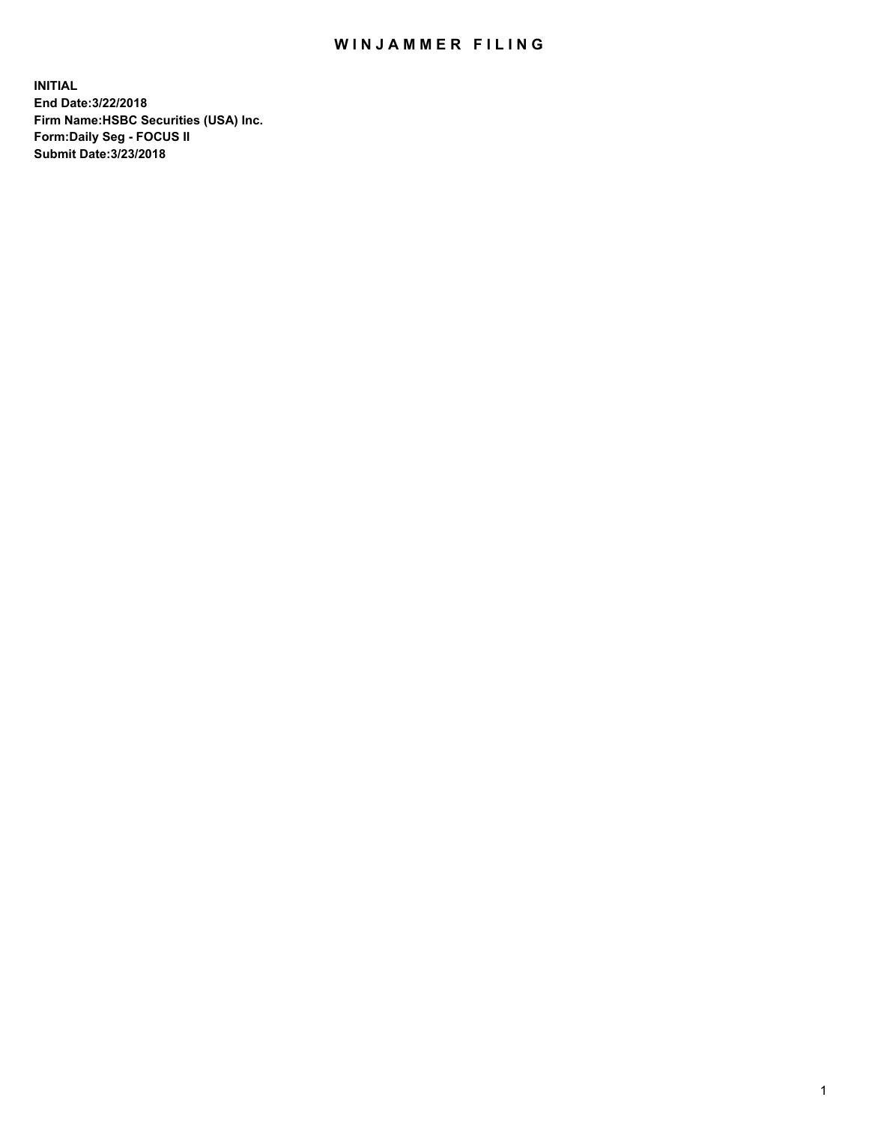## WIN JAMMER FILING

**INITIAL End Date:3/22/2018 Firm Name:HSBC Securities (USA) Inc. Form:Daily Seg - FOCUS II Submit Date:3/23/2018**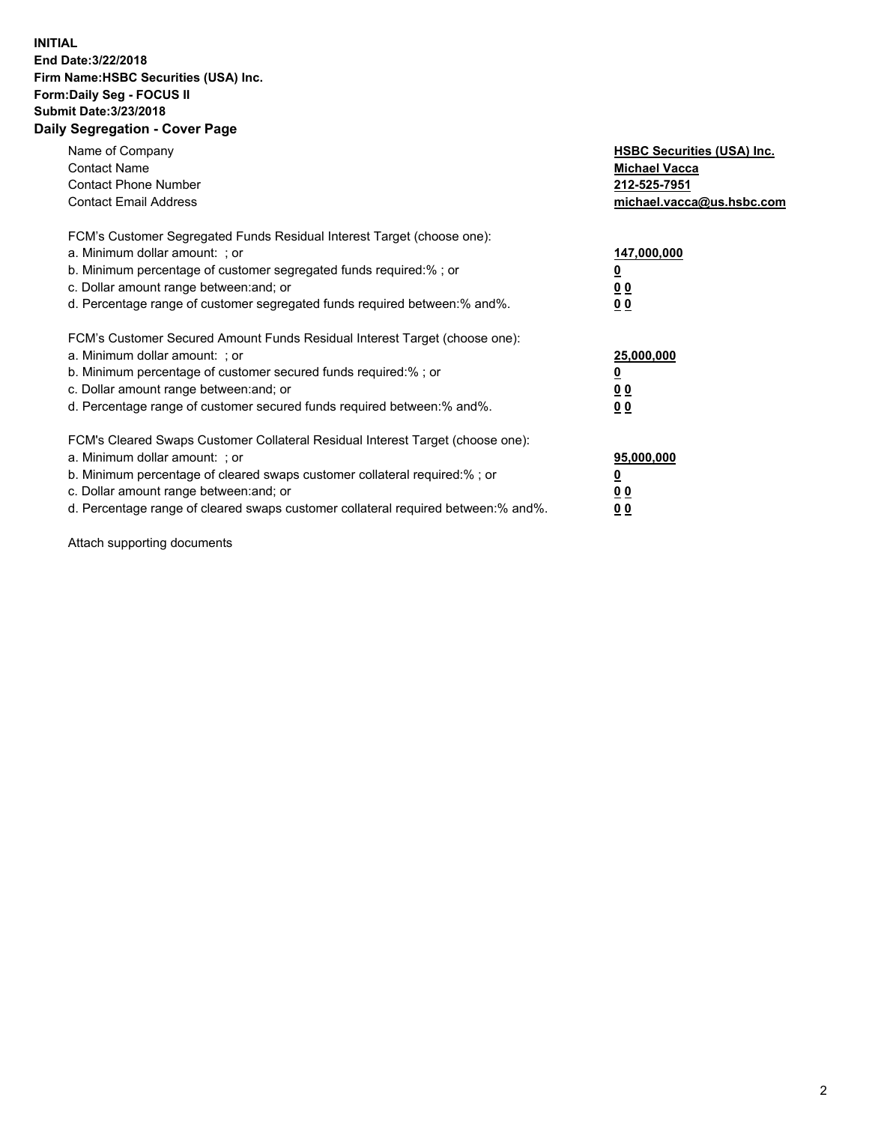## **INITIAL End Date:3/22/2018 Firm Name:HSBC Securities (USA) Inc. Form:Daily Seg - FOCUS II Submit Date:3/23/2018 Daily Segregation - Cover Page**

| Name of Company<br><b>Contact Name</b><br><b>Contact Phone Number</b><br><b>Contact Email Address</b>                                                                                                                                                                                                                         | <b>HSBC Securities (USA) Inc.</b><br><b>Michael Vacca</b><br>212-525-7951<br>michael.vacca@us.hsbc.com |
|-------------------------------------------------------------------------------------------------------------------------------------------------------------------------------------------------------------------------------------------------------------------------------------------------------------------------------|--------------------------------------------------------------------------------------------------------|
| FCM's Customer Segregated Funds Residual Interest Target (choose one):<br>a. Minimum dollar amount: ; or<br>b. Minimum percentage of customer segregated funds required:%; or<br>c. Dollar amount range between: and; or<br>d. Percentage range of customer segregated funds required between: % and %.                       | 147,000,000<br><u>0</u><br><u>00</u><br><u>00</u>                                                      |
| FCM's Customer Secured Amount Funds Residual Interest Target (choose one):<br>a. Minimum dollar amount: ; or<br>b. Minimum percentage of customer secured funds required:%; or<br>c. Dollar amount range between: and; or<br>d. Percentage range of customer secured funds required between: % and %.                         | 25,000,000<br><u>0</u><br><u>00</u><br>00                                                              |
| FCM's Cleared Swaps Customer Collateral Residual Interest Target (choose one):<br>a. Minimum dollar amount: ; or<br>b. Minimum percentage of cleared swaps customer collateral required:%; or<br>c. Dollar amount range between: and; or<br>d. Percentage range of cleared swaps customer collateral required between:% and%. | 95,000,000<br><u>0</u><br><u>00</u><br><u>00</u>                                                       |

Attach supporting documents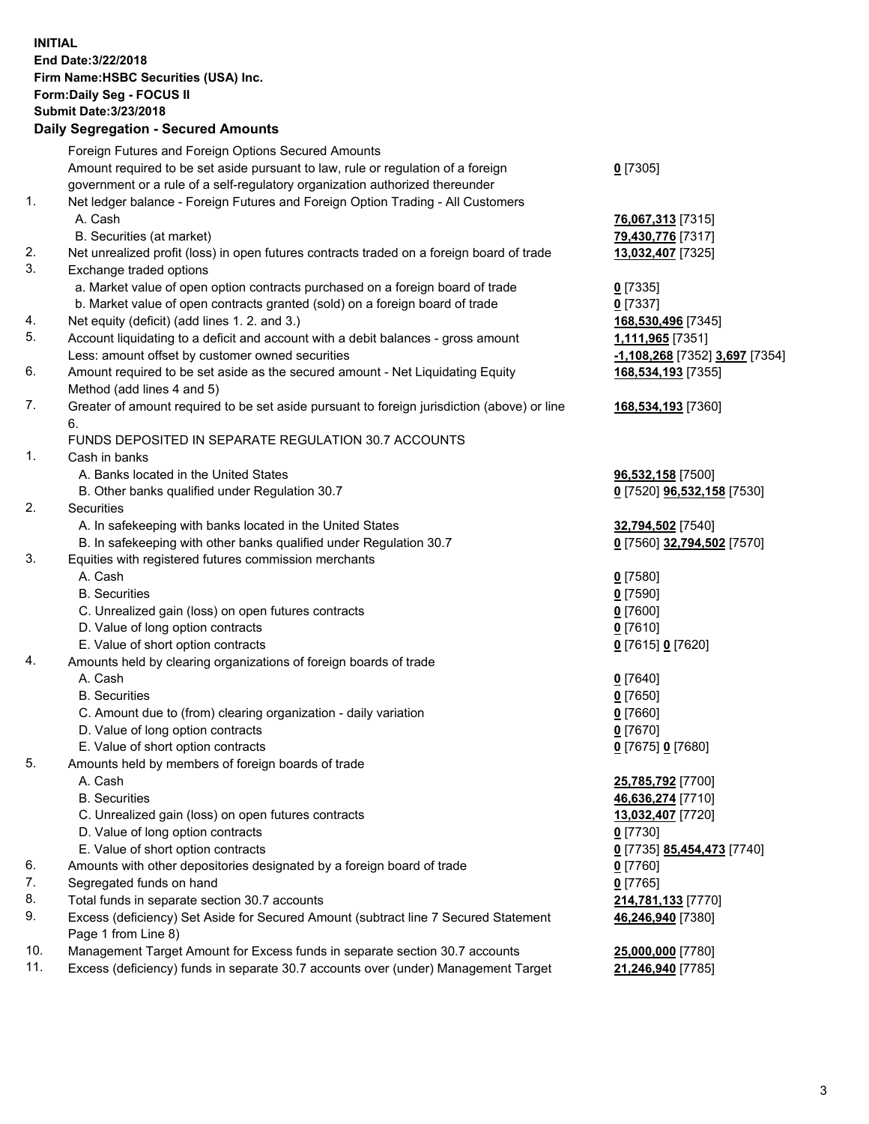**INITIAL End Date:3/22/2018 Firm Name:HSBC Securities (USA) Inc. Form:Daily Seg - FOCUS II Submit Date:3/23/2018 Daily Segregation - Secured Amounts**

Foreign Futures and Foreign Options Secured Amounts Amount required to be set aside pursuant to law, rule or regulation of a foreign government or a rule of a self-regulatory organization authorized thereunder **0** [7305] 1. Net ledger balance - Foreign Futures and Foreign Option Trading - All Customers A. Cash **76,067,313** [7315] B. Securities (at market) **79,430,776** [7317] 2. Net unrealized profit (loss) in open futures contracts traded on a foreign board of trade **13,032,407** [7325] 3. Exchange traded options a. Market value of open option contracts purchased on a foreign board of trade **0** [7335] b. Market value of open contracts granted (sold) on a foreign board of trade **0** [7337] 4. Net equity (deficit) (add lines 1. 2. and 3.) **168,530,496** [7345] 5. Account liquidating to a deficit and account with a debit balances - gross amount **1,111,965** [7351] Less: amount offset by customer owned securities **-1,108,268** [7352] **3,697** [7354] 6. Amount required to be set aside as the secured amount - Net Liquidating Equity Method (add lines 4 and 5) **168,534,193** [7355] 7. Greater of amount required to be set aside pursuant to foreign jurisdiction (above) or line 6. **168,534,193** [7360] FUNDS DEPOSITED IN SEPARATE REGULATION 30.7 ACCOUNTS 1. Cash in banks A. Banks located in the United States **96,532,158** [7500] B. Other banks qualified under Regulation 30.7 **0** [7520] **96,532,158** [7530] 2. Securities A. In safekeeping with banks located in the United States **32,794,502** [7540] B. In safekeeping with other banks qualified under Regulation 30.7 **0** [7560] **32,794,502** [7570] 3. Equities with registered futures commission merchants A. Cash **0** [7580] B. Securities **0** [7590] C. Unrealized gain (loss) on open futures contracts **0** [7600] D. Value of long option contracts **0** [7610] E. Value of short option contracts **0** [7615] **0** [7620] 4. Amounts held by clearing organizations of foreign boards of trade A. Cash **0** [7640] B. Securities **0** [7650] C. Amount due to (from) clearing organization - daily variation **0** [7660] D. Value of long option contracts **0** [7670] E. Value of short option contracts **0** [7675] **0** [7680] 5. Amounts held by members of foreign boards of trade A. Cash **25,785,792** [7700] B. Securities **46,636,274** [7710] C. Unrealized gain (loss) on open futures contracts **13,032,407** [7720] D. Value of long option contracts **0** [7730] E. Value of short option contracts **0** [7735] **85,454,473** [7740] 6. Amounts with other depositories designated by a foreign board of trade **0** [7760] 7. Segregated funds on hand **0** [7765] 8. Total funds in separate section 30.7 accounts **214,781,133** [7770] 9. Excess (deficiency) Set Aside for Secured Amount (subtract line 7 Secured Statement Page 1 from Line 8) **46,246,940** [7380] 10. Management Target Amount for Excess funds in separate section 30.7 accounts **25,000,000** [7780] 11. Excess (deficiency) funds in separate 30.7 accounts over (under) Management Target **21,246,940** [7785]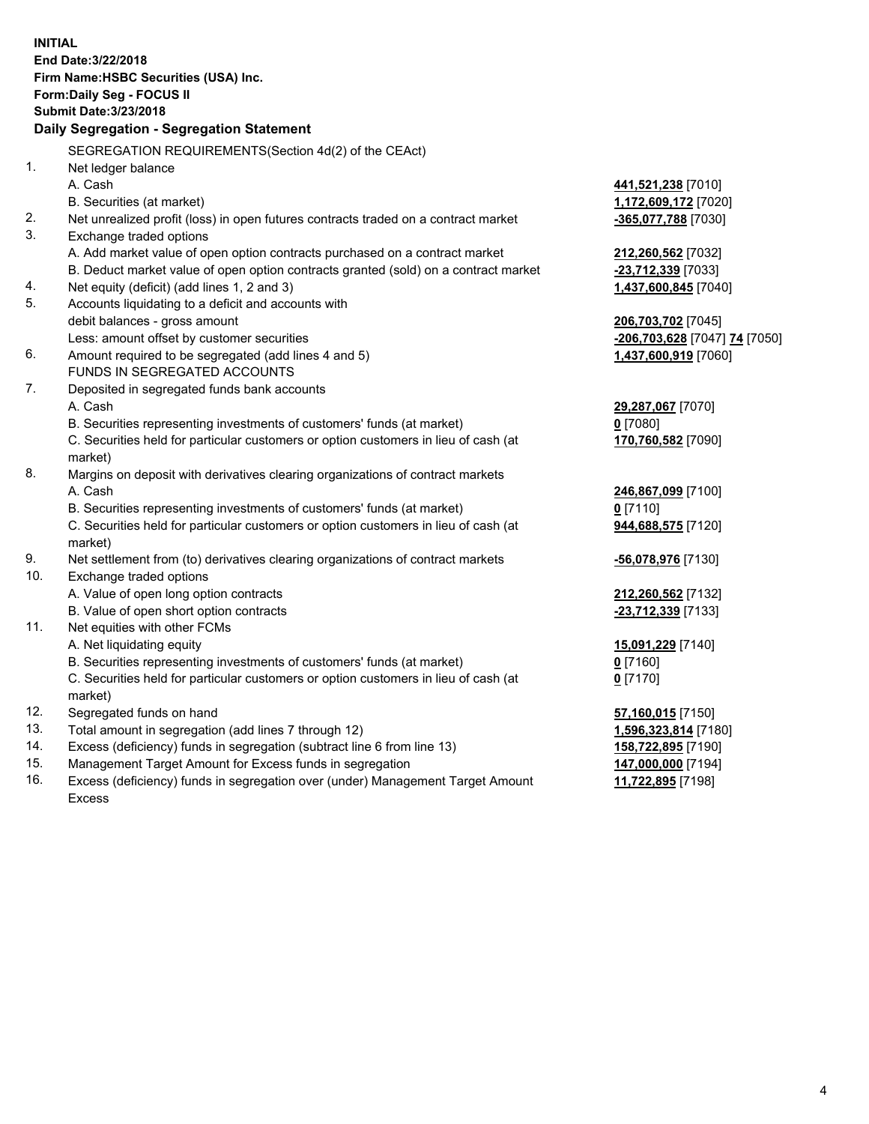**INITIAL End Date:3/22/2018 Firm Name:HSBC Securities (USA) Inc. Form:Daily Seg - FOCUS II Submit Date:3/23/2018 Daily Segregation - Segregation Statement** SEGREGATION REQUIREMENTS(Section 4d(2) of the CEAct) 1. Net ledger balance A. Cash **441,521,238** [7010] B. Securities (at market) **1,172,609,172** [7020] 2. Net unrealized profit (loss) in open futures contracts traded on a contract market **-365,077,788** [7030] 3. Exchange traded options A. Add market value of open option contracts purchased on a contract market **212,260,562** [7032] B. Deduct market value of open option contracts granted (sold) on a contract market **-23,712,339** [7033] 4. Net equity (deficit) (add lines 1, 2 and 3) **1,437,600,845** [7040] 5. Accounts liquidating to a deficit and accounts with debit balances - gross amount **206,703,702** [7045] Less: amount offset by customer securities **-206,703,628** [7047] **74** [7050] 6. Amount required to be segregated (add lines 4 and 5) **1,437,600,919** [7060] FUNDS IN SEGREGATED ACCOUNTS 7. Deposited in segregated funds bank accounts A. Cash **29,287,067** [7070] B. Securities representing investments of customers' funds (at market) **0** [7080] C. Securities held for particular customers or option customers in lieu of cash (at market) **170,760,582** [7090] 8. Margins on deposit with derivatives clearing organizations of contract markets A. Cash **246,867,099** [7100] B. Securities representing investments of customers' funds (at market) **0** [7110] C. Securities held for particular customers or option customers in lieu of cash (at market) **944,688,575** [7120] 9. Net settlement from (to) derivatives clearing organizations of contract markets **-56,078,976** [7130] 10. Exchange traded options A. Value of open long option contracts **212,260,562** [7132] B. Value of open short option contracts **-23,712,339** [7133] 11. Net equities with other FCMs A. Net liquidating equity **15,091,229** [7140] B. Securities representing investments of customers' funds (at market) **0** [7160] C. Securities held for particular customers or option customers in lieu of cash (at market) **0** [7170] 12. Segregated funds on hand **57,160,015** [7150] 13. Total amount in segregation (add lines 7 through 12) **1,596,323,814** [7180] 14. Excess (deficiency) funds in segregation (subtract line 6 from line 13) **158,722,895** [7190] 15. Management Target Amount for Excess funds in segregation **147,000,000** [7194]

16. Excess (deficiency) funds in segregation over (under) Management Target Amount Excess

**11,722,895** [7198]